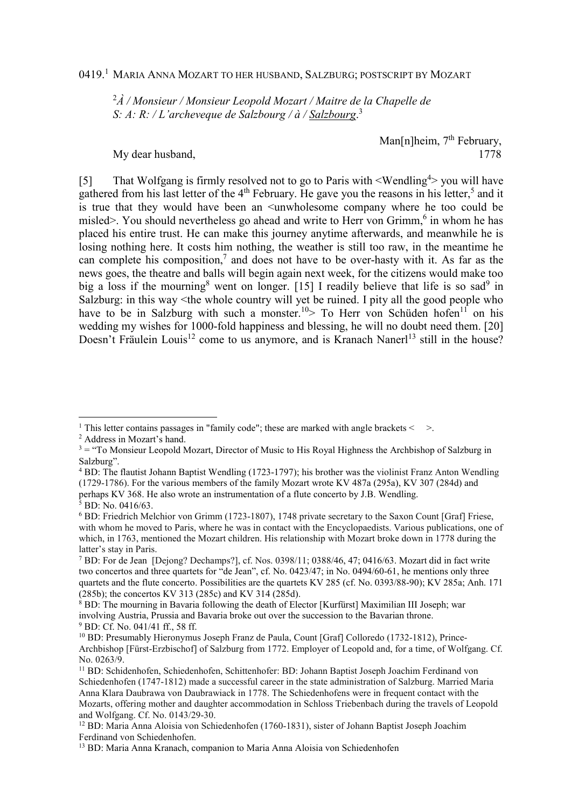0419.<sup>1</sup> Maria Anna Mozart to her husband, Salzburg; postscript by Mozart

<sup>2</sup>*À / Monsieur / Monsieur Leopold Mozart / Maitre de la Chapelle de S: A: R: / L'archeveque de Salzbourg / à / Salzbourg*. 3

Man[n]heim, 7<sup>th</sup> February, My dear husband, 1778

[5] That Wolfgang is firmly resolved not to go to Paris with <Wendling<sup>4</sup>> you will have gathered from his last letter of the  $4<sup>th</sup>$  February. He gave you the reasons in his letter,<sup>5</sup> and it is true that they would have been an <unwholesome company where he too could be misled>. You should nevertheless go ahead and write to Herr von Grimm,<sup>6</sup> in whom he has placed his entire trust. He can make this journey anytime afterwards, and meanwhile he is losing nothing here. It costs him nothing, the weather is still too raw, in the meantime he can complete his composition,<sup>7</sup> and does not have to be over-hasty with it. As far as the news goes, the theatre and balls will begin again next week, for the citizens would make too big a loss if the mourning<sup>8</sup> went on longer. [15] I readily believe that life is so sad<sup>9</sup> in Salzburg: in this way <the whole country will yet be ruined. I pity all the good people who have to be in Salzburg with such a monster.<sup>10</sup>> To Herr von Schüden hofen<sup>11</sup> on his wedding my wishes for 1000-fold happiness and blessing, he will no doubt need them. [20] Doesn't Fräulein Louis<sup>12</sup> come to us anymore, and is Kranach Nanerl<sup>13</sup> still in the house?

<sup>&</sup>lt;sup>1</sup> This letter contains passages in "family code"; these are marked with angle brackets  $\leq$  >.

<sup>2</sup> Address in Mozart's hand.

 $3 =$  "To Monsieur Leopold Mozart, Director of Music to His Royal Highness the Archbishop of Salzburg in Salzburg".

<sup>&</sup>lt;sup>4</sup> BD: The flautist Johann Baptist Wendling (1723-1797); his brother was the violinist Franz Anton Wendling (1729-1786). For the various members of the family Mozart wrote KV 487a (295a), KV 307 (284d) and perhaps KV 368. He also wrote an instrumentation of a flute concerto by J.B. Wendling.

<sup>5</sup> BD: No. 0416/63.

<sup>&</sup>lt;sup>6</sup> BD: Friedrich Melchior von Grimm (1723-1807), 1748 private secretary to the Saxon Count [Graf] Friese, with whom he moved to Paris, where he was in contact with the Encyclopaedists. Various publications, one of which, in 1763, mentioned the Mozart children. His relationship with Mozart broke down in 1778 during the latter's stay in Paris.

<sup>&</sup>lt;sup>7</sup> BD: For de Jean [Dejong? Dechamps?], cf. Nos. 0398/11; 0388/46, 47; 0416/63. Mozart did in fact write two concertos and three quartets for "de Jean", cf. No. 0423/47; in No. 0494/60-61, he mentions only three quartets and the flute concerto. Possibilities are the quartets KV 285 (cf. No. 0393/88-90); KV 285a; Anh. 171 (285b); the concertos KV 313 (285c) and KV 314 (285d).

<sup>&</sup>lt;sup>8</sup> BD: The mourning in Bavaria following the death of Elector [Kurfürst] Maximilian III Joseph; war involving Austria, Prussia and Bavaria broke out over the succession to the Bavarian throne. 9 BD: Cf. No. 041/41 ff., 58 ff.

<sup>&</sup>lt;sup>10</sup> BD: Presumably Hieronymus Joseph Franz de Paula, Count [Graf] Colloredo (1732-1812), Prince-Archbishop [Fürst-Erzbischof] of Salzburg from 1772. Employer of Leopold and, for a time, of Wolfgang. Cf. No. 0263/9.

<sup>&</sup>lt;sup>11</sup> BD: Schidenhofen, Schiedenhofen, Schittenhofer: BD: Johann Baptist Joseph Joachim Ferdinand von Schiedenhofen (1747-1812) made a successful career in the state administration of Salzburg. Married Maria Anna Klara Daubrawa von Daubrawiack in 1778. The Schiedenhofens were in frequent contact with the Mozarts, offering mother and daughter accommodation in Schloss Triebenbach during the travels of Leopold and Wolfgang. Cf. No. 0143/29-30.

<sup>12</sup> BD: Maria Anna Aloisia von Schiedenhofen (1760-1831), sister of Johann Baptist Joseph Joachim Ferdinand von Schiedenhofen.

<sup>13</sup> BD: Maria Anna Kranach, companion to Maria Anna Aloisia von Schiedenhofen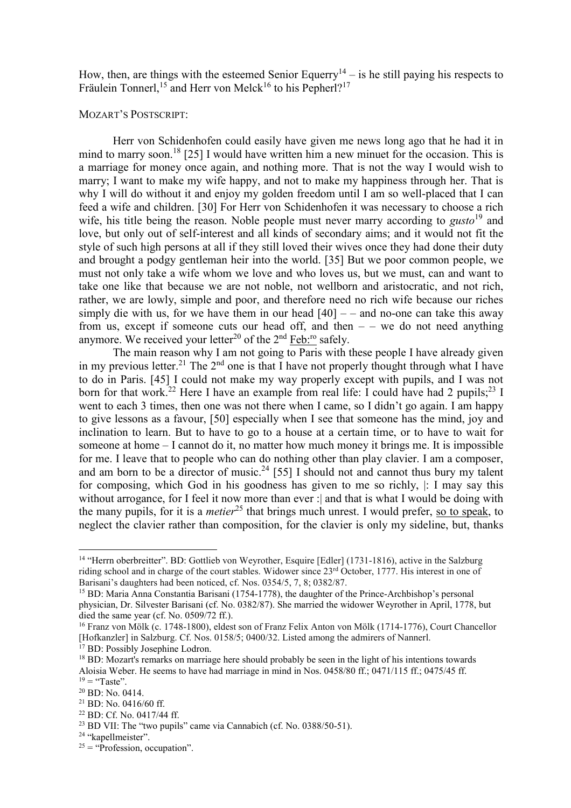How, then, are things with the esteemed Senior Equerry<sup>14</sup> – is he still paying his respects to Fräulein Tonnerl,<sup>15</sup> and Herr von Melck<sup>16</sup> to his Pepherl?<sup>17</sup>

## MOZART'S POSTSCRIPT:

 Herr von Schidenhofen could easily have given me news long ago that he had it in mind to marry soon.<sup>18</sup> [25] I would have written him a new minuet for the occasion. This is a marriage for money once again, and nothing more. That is not the way I would wish to marry; I want to make my wife happy, and not to make my happiness through her. That is why I will do without it and enjoy my golden freedom until I am so well-placed that I can feed a wife and children. [30] For Herr von Schidenhofen it was necessary to choose a rich wife, his title being the reason. Noble people must never marry according to *gusto*<sup>19</sup> and love, but only out of self-interest and all kinds of secondary aims; and it would not fit the style of such high persons at all if they still loved their wives once they had done their duty and brought a podgy gentleman heir into the world. [35] But we poor common people, we must not only take a wife whom we love and who loves us, but we must, can and want to take one like that because we are not noble, not wellborn and aristocratic, and not rich, rather, we are lowly, simple and poor, and therefore need no rich wife because our riches simply die with us, for we have them in our head  $[40]$  – – and no-one can take this away from us, except if someone cuts our head off, and then  $-$  – we do not need anything anymore. We received your letter<sup>20</sup> of the  $2<sup>nd</sup>$  Feb:<sup>ro</sup> safely.

 The main reason why I am not going to Paris with these people I have already given in my previous letter.<sup>21</sup> The  $2<sup>nd</sup>$  one is that I have not properly thought through what I have to do in Paris. [45] I could not make my way properly except with pupils, and I was not born for that work.<sup>22</sup> Here I have an example from real life: I could have had 2 pupils;<sup>23</sup> I went to each 3 times, then one was not there when I came, so I didn't go again. I am happy to give lessons as a favour, [50] especially when I see that someone has the mind, joy and inclination to learn. But to have to go to a house at a certain time, or to have to wait for someone at home – I cannot do it, no matter how much money it brings me. It is impossible for me. I leave that to people who can do nothing other than play clavier. I am a composer, and am born to be a director of music.<sup>24</sup> [55] I should not and cannot thus bury my talent for composing, which God in his goodness has given to me so richly, |: I may say this without arrogance, for I feel it now more than ever : and that is what I would be doing with the many pupils, for it is a *metier*<sup>25</sup> that brings much unrest. I would prefer, so to speak, to neglect the clavier rather than composition, for the clavier is only my sideline, but, thanks

<sup>&</sup>lt;sup>14</sup> "Herrn oberbreitter". BD: Gottlieb von Weyrother, Esquire [Edler] (1731-1816), active in the Salzburg riding school and in charge of the court stables. Widower since 23<sup>rd</sup> October, 1777. His interest in one of Barisani's daughters had been noticed, cf. Nos. 0354/5, 7, 8; 0382/87.

<sup>&</sup>lt;sup>15</sup> BD: Maria Anna Constantia Barisani (1754-1778), the daughter of the Prince-Archbishop's personal physician, Dr. Silvester Barisani (cf. No. 0382/87). She married the widower Weyrother in April, 1778, but died the same year (cf. No. 0509/72 ff.).

<sup>16</sup> Franz von Mölk (c. 1748-1800), eldest son of Franz Felix Anton von Mölk (1714-1776), Court Chancellor [Hofkanzler] in Salzburg. Cf. Nos. 0158/5; 0400/32. Listed among the admirers of Nannerl.

<sup>&</sup>lt;sup>17</sup> BD: Possibly Josephine Lodron.

<sup>&</sup>lt;sup>18</sup> BD: Mozart's remarks on marriage here should probably be seen in the light of his intentions towards Aloisia Weber. He seems to have had marriage in mind in Nos. 0458/80 ff.; 0471/115 ff.; 0475/45 ff.  $19 =$  "Taste".

<sup>20</sup> BD: No. 0414.

 $21$  BD: No. 0416/60 ff.

<sup>22</sup> BD: Cf. No. 0417/44 ff.

<sup>23</sup> BD VII: The "two pupils" came via Cannabich (cf. No. 0388/50-51).

<sup>&</sup>lt;sup>24</sup> "kapellmeister".

 $25 =$  "Profession, occupation".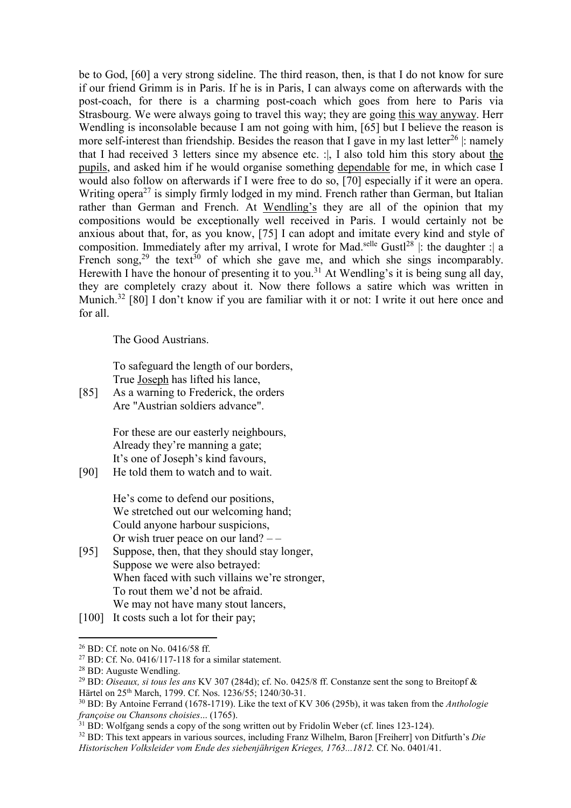be to God, [60] a very strong sideline. The third reason, then, is that I do not know for sure if our friend Grimm is in Paris. If he is in Paris, I can always come on afterwards with the post-coach, for there is a charming post-coach which goes from here to Paris via Strasbourg. We were always going to travel this way; they are going this way anyway. Herr Wendling is inconsolable because I am not going with him, [65] but I believe the reason is more self-interest than friendship. Besides the reason that I gave in my last letter<sup>26</sup>  $\mid$ : namely that I had received 3 letters since my absence etc. :|, I also told him this story about the pupils, and asked him if he would organise something dependable for me, in which case I would also follow on afterwards if I were free to do so, [70] especially if it were an opera. Writing opera<sup>27</sup> is simply firmly lodged in my mind. French rather than German, but Italian rather than German and French. At Wendling's they are all of the opinion that my compositions would be exceptionally well received in Paris. I would certainly not be anxious about that, for, as you know, [75] I can adopt and imitate every kind and style of composition. Immediately after my arrival, I wrote for Mad.<sup>selle</sup> Gust<sup>28</sup> |: the daughter : a French song,<sup>29</sup> the text<sup>30</sup> of which she gave me, and which she sings incomparably. Herewith I have the honour of presenting it to you.<sup>31</sup> At Wendling's it is being sung all day, they are completely crazy about it. Now there follows a satire which was written in Munich.<sup>32</sup> [80] I don't know if you are familiar with it or not: I write it out here once and for all.

The Good Austrians.

To safeguard the length of our borders, True Joseph has lifted his lance,

[85] As a warning to Frederick, the orders Are "Austrian soldiers advance".

> For these are our easterly neighbours, Already they're manning a gate; It's one of Joseph's kind favours,

[90] He told them to watch and to wait.

He's come to defend our positions, We stretched out our welcoming hand; Could anyone harbour suspicions, Or wish truer peace on our land? – –

- [95] Suppose, then, that they should stay longer, Suppose we were also betrayed: When faced with such villains we're stronger, To rout them we'd not be afraid. We may not have many stout lancers,
- [100] It costs such a lot for their pay;

 $\overline{a}$  $26$  BD: Cf. note on No. 0416/58 ff.

 $27$  BD: Cf. No. 0416/117-118 for a similar statement.

<sup>28</sup> BD: Auguste Wendling.

<sup>29</sup> BD: *Oiseaux, si tous les ans* KV 307 (284d); cf. No. 0425/8 ff. Constanze sent the song to Breitopf & Härtel on 25th March, 1799. Cf. Nos. 1236/55; 1240/30-31.

<sup>30</sup> BD: By Antoine Ferrand (1678-1719). Like the text of KV 306 (295b), it was taken from the *Anthologie françoise ou Chansons choisies*... (1765).

 $31$  BD: Wolfgang sends a copy of the song written out by Fridolin Weber (cf. lines 123-124).

<sup>32</sup> BD: This text appears in various sources, including Franz Wilhelm, Baron [Freiherr] von Ditfurth's *Die Historischen Volksleider vom Ende des siebenjährigen Krieges, 1763...1812.* Cf. No. 0401/41.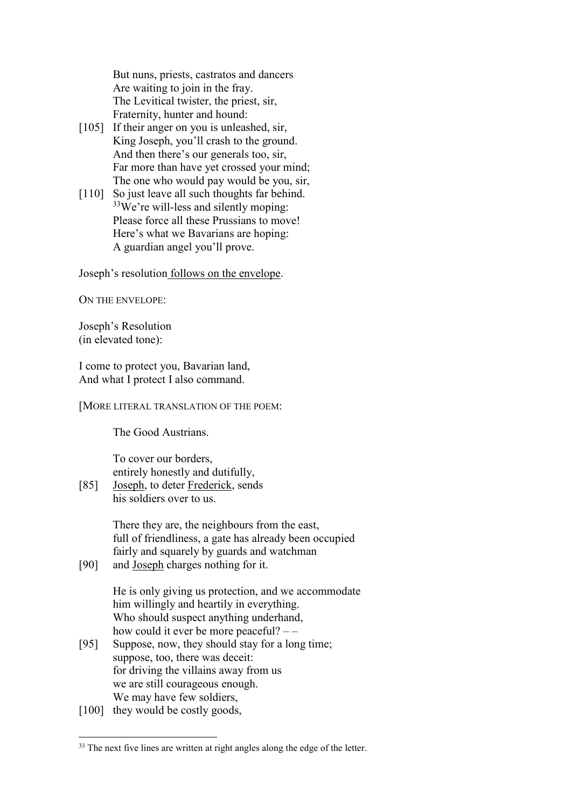But nuns, priests, castratos and dancers Are waiting to join in the fray. The Levitical twister, the priest, sir, Fraternity, hunter and hound:

- [105] If their anger on you is unleashed, sir, King Joseph, you'll crash to the ground. And then there's our generals too, sir, Far more than have yet crossed your mind; The one who would pay would be you, sir,
- [110] So just leave all such thoughts far behind. <sup>33</sup>We're will-less and silently moping: Please force all these Prussians to move! Here's what we Bavarians are hoping: A guardian angel you'll prove.

Joseph's resolution follows on the envelope.

ON THE ENVELOPE:

Joseph's Resolution (in elevated tone):

I come to protect you, Bavarian land, And what I protect I also command.

[MORE LITERAL TRANSLATION OF THE POEM:

The Good Austrians.

To cover our borders, entirely honestly and dutifully,

[85] Joseph, to deter Frederick, sends his soldiers over to us.

> There they are, the neighbours from the east, full of friendliness, a gate has already been occupied fairly and squarely by guards and watchman

[90] and Joseph charges nothing for it.

He is only giving us protection, and we accommodate him willingly and heartily in everything. Who should suspect anything underhand, how could it ever be more peaceful? – –

- [95] Suppose, now, they should stay for a long time; suppose, too, there was deceit: for driving the villains away from us we are still courageous enough. We may have few soldiers,
- [100] they would be costly goods,

<sup>&</sup>lt;sup>33</sup> The next five lines are written at right angles along the edge of the letter.